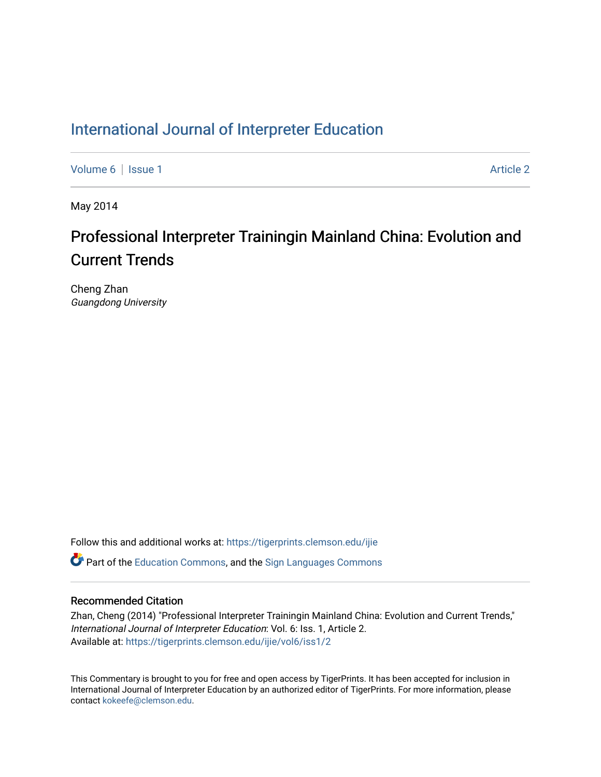### [International Journal of Interpreter Education](https://tigerprints.clemson.edu/ijie)

[Volume 6](https://tigerprints.clemson.edu/ijie/vol6) | [Issue 1](https://tigerprints.clemson.edu/ijie/vol6/iss1) Article 2

May 2014

### Professional Interpreter Trainingin Mainland China: Evolution and Current Trends

Cheng Zhan Guangdong University

Follow this and additional works at: [https://tigerprints.clemson.edu/ijie](https://tigerprints.clemson.edu/ijie?utm_source=tigerprints.clemson.edu%2Fijie%2Fvol6%2Fiss1%2F2&utm_medium=PDF&utm_campaign=PDFCoverPages) 

 $\bullet$  Part of the [Education Commons](https://network.bepress.com/hgg/discipline/784?utm_source=tigerprints.clemson.edu%2Fijie%2Fvol6%2Fiss1%2F2&utm_medium=PDF&utm_campaign=PDFCoverPages), and the Sign Languages Commons

#### Recommended Citation

Zhan, Cheng (2014) "Professional Interpreter Trainingin Mainland China: Evolution and Current Trends," International Journal of Interpreter Education: Vol. 6: Iss. 1, Article 2. Available at: [https://tigerprints.clemson.edu/ijie/vol6/iss1/2](https://tigerprints.clemson.edu/ijie/vol6/iss1/2?utm_source=tigerprints.clemson.edu%2Fijie%2Fvol6%2Fiss1%2F2&utm_medium=PDF&utm_campaign=PDFCoverPages)

This Commentary is brought to you for free and open access by TigerPrints. It has been accepted for inclusion in International Journal of Interpreter Education by an authorized editor of TigerPrints. For more information, please contact [kokeefe@clemson.edu.](mailto:kokeefe@clemson.edu)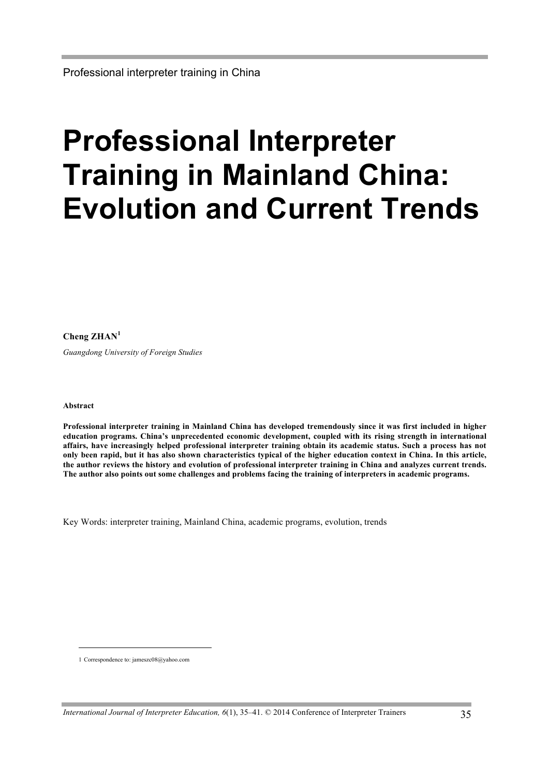# **Professional Interpreter Training in Mainland China: Evolution and Current Trends**

**Cheng ZHAN<sup>1</sup>**

*Guangdong University of Foreign Studies*

#### **Abstract**

l

**Professional interpreter training in Mainland China has developed tremendously since it was first included in higher education programs. China's unprecedented economic development, coupled with its rising strength in international affairs, have increasingly helped professional interpreter training obtain its academic status. Such a process has not only been rapid, but it has also shown characteristics typical of the higher education context in China. In this article, the author reviews the history and evolution of professional interpreter training in China and analyzes current trends. The author also points out some challenges and problems facing the training of interpreters in academic programs.** 

Key Words: interpreter training, Mainland China, academic programs, evolution, trends

<sup>1</sup> Correspondence to: jameszc08@yahoo.com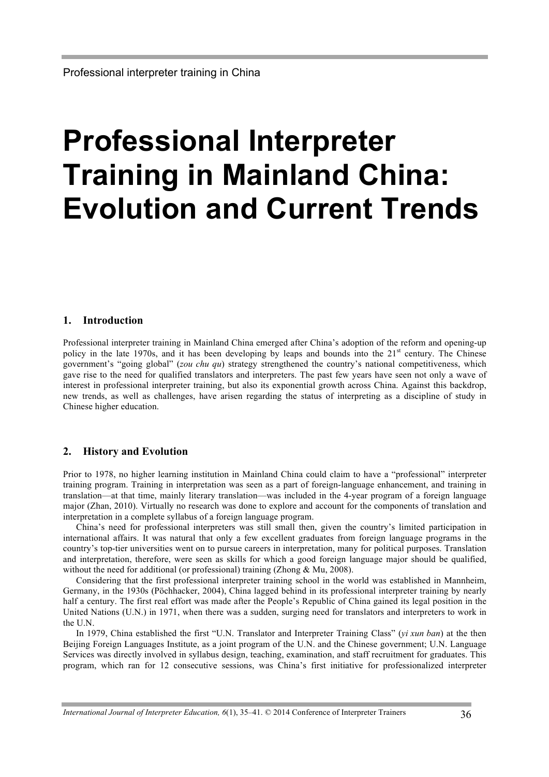## **Professional Interpreter Training in Mainland China: Evolution and Current Trends**

#### **1. Introduction**

Professional interpreter training in Mainland China emerged after China's adoption of the reform and opening-up policy in the late 1970s, and it has been developing by leaps and bounds into the  $21<sup>st</sup>$  century. The Chinese government's "going global" (*zou chu qu*) strategy strengthened the country's national competitiveness, which gave rise to the need for qualified translators and interpreters. The past few years have seen not only a wave of interest in professional interpreter training, but also its exponential growth across China. Against this backdrop, new trends, as well as challenges, have arisen regarding the status of interpreting as a discipline of study in Chinese higher education.

#### **2. History and Evolution**

Prior to 1978, no higher learning institution in Mainland China could claim to have a "professional" interpreter training program. Training in interpretation was seen as a part of foreign-language enhancement, and training in translation—at that time, mainly literary translation—was included in the 4-year program of a foreign language major (Zhan, 2010). Virtually no research was done to explore and account for the components of translation and interpretation in a complete syllabus of a foreign language program.

China's need for professional interpreters was still small then, given the country's limited participation in international affairs. It was natural that only a few excellent graduates from foreign language programs in the country's top-tier universities went on to pursue careers in interpretation, many for political purposes. Translation and interpretation, therefore, were seen as skills for which a good foreign language major should be qualified, without the need for additional (or professional) training (Zhong & Mu, 2008).

Considering that the first professional interpreter training school in the world was established in Mannheim, Germany, in the 1930s (Pöchhacker, 2004), China lagged behind in its professional interpreter training by nearly half a century. The first real effort was made after the People's Republic of China gained its legal position in the United Nations (U.N.) in 1971, when there was a sudden, surging need for translators and interpreters to work in the U.N.

In 1979, China established the first "U.N. Translator and Interpreter Training Class" (*yi xun ban*) at the then Beijing Foreign Languages Institute, as a joint program of the U.N. and the Chinese government; U.N. Language Services was directly involved in syllabus design, teaching, examination, and staff recruitment for graduates. This program, which ran for 12 consecutive sessions, was China's first initiative for professionalized interpreter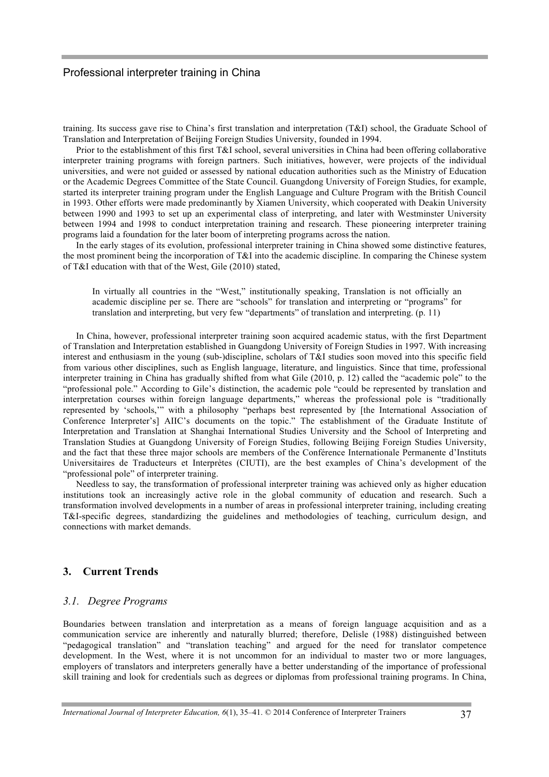training. Its success gave rise to China's first translation and interpretation (T&I) school, the Graduate School of Translation and Interpretation of Beijing Foreign Studies University, founded in 1994.

Prior to the establishment of this first T&I school, several universities in China had been offering collaborative interpreter training programs with foreign partners. Such initiatives, however, were projects of the individual universities, and were not guided or assessed by national education authorities such as the Ministry of Education or the Academic Degrees Committee of the State Council. Guangdong University of Foreign Studies, for example, started its interpreter training program under the English Language and Culture Program with the British Council in 1993. Other efforts were made predominantly by Xiamen University, which cooperated with Deakin University between 1990 and 1993 to set up an experimental class of interpreting, and later with Westminster University between 1994 and 1998 to conduct interpretation training and research. These pioneering interpreter training programs laid a foundation for the later boom of interpreting programs across the nation.

In the early stages of its evolution, professional interpreter training in China showed some distinctive features, the most prominent being the incorporation of T&I into the academic discipline. In comparing the Chinese system of T&I education with that of the West, Gile (2010) stated,

In virtually all countries in the "West," institutionally speaking, Translation is not officially an academic discipline per se. There are "schools" for translation and interpreting or "programs" for translation and interpreting, but very few "departments" of translation and interpreting. (p. 11)

In China, however, professional interpreter training soon acquired academic status, with the first Department of Translation and Interpretation established in Guangdong University of Foreign Studies in 1997. With increasing interest and enthusiasm in the young (sub-)discipline, scholars of T&I studies soon moved into this specific field from various other disciplines, such as English language, literature, and linguistics. Since that time, professional interpreter training in China has gradually shifted from what Gile (2010, p. 12) called the "academic pole" to the "professional pole." According to Gile's distinction, the academic pole "could be represented by translation and interpretation courses within foreign language departments," whereas the professional pole is "traditionally represented by 'schools,'" with a philosophy "perhaps best represented by [the International Association of Conference Interpreter's] AIIC's documents on the topic." The establishment of the Graduate Institute of Interpretation and Translation at Shanghai International Studies University and the School of Interpreting and Translation Studies at Guangdong University of Foreign Studies, following Beijing Foreign Studies University, and the fact that these three major schools are members of the Conférence Internationale Permanente d'Instituts Universitaires de Traducteurs et Interprètes (CIUTI), are the best examples of China's development of the "professional pole" of interpreter training.

Needless to say, the transformation of professional interpreter training was achieved only as higher education institutions took an increasingly active role in the global community of education and research. Such a transformation involved developments in a number of areas in professional interpreter training, including creating T&I-specific degrees, standardizing the guidelines and methodologies of teaching, curriculum design, and connections with market demands.

#### **3. Current Trends**

#### *3.1. Degree Programs*

Boundaries between translation and interpretation as a means of foreign language acquisition and as a communication service are inherently and naturally blurred; therefore, Delisle (1988) distinguished between "pedagogical translation" and "translation teaching" and argued for the need for translator competence development. In the West, where it is not uncommon for an individual to master two or more languages, employers of translators and interpreters generally have a better understanding of the importance of professional skill training and look for credentials such as degrees or diplomas from professional training programs. In China,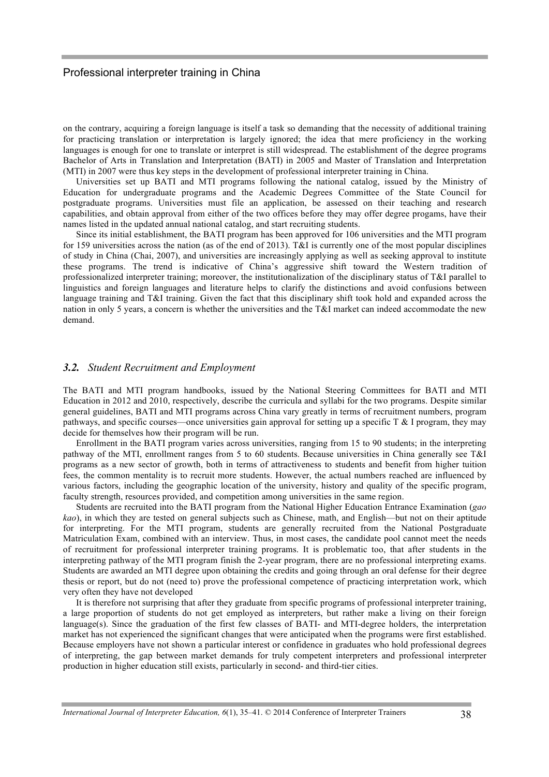on the contrary, acquiring a foreign language is itself a task so demanding that the necessity of additional training for practicing translation or interpretation is largely ignored; the idea that mere proficiency in the working languages is enough for one to translate or interpret is still widespread. The establishment of the degree programs Bachelor of Arts in Translation and Interpretation (BATI) in 2005 and Master of Translation and Interpretation (MTI) in 2007 were thus key steps in the development of professional interpreter training in China.

Universities set up BATI and MTI programs following the national catalog, issued by the Ministry of Education for undergraduate programs and the Academic Degrees Committee of the State Council for postgraduate programs. Universities must file an application, be assessed on their teaching and research capabilities, and obtain approval from either of the two offices before they may offer degree progams, have their names listed in the updated annual national catalog, and start recruiting students.

Since its initial establishment, the BATI program has been approved for 106 universities and the MTI program for 159 universities across the nation (as of the end of 2013). T&I is currently one of the most popular disciplines of study in China (Chai, 2007), and universities are increasingly applying as well as seeking approval to institute these programs. The trend is indicative of China's aggressive shift toward the Western tradition of professionalized interpreter training; moreover, the institutionalization of the disciplinary status of T&I parallel to linguistics and foreign languages and literature helps to clarify the distinctions and avoid confusions between language training and T&I training. Given the fact that this disciplinary shift took hold and expanded across the nation in only 5 years, a concern is whether the universities and the T&I market can indeed accommodate the new demand.

#### *3.2. Student Recruitment and Employment*

The BATI and MTI program handbooks, issued by the National Steering Committees for BATI and MTI Education in 2012 and 2010, respectively, describe the curricula and syllabi for the two programs. Despite similar general guidelines, BATI and MTI programs across China vary greatly in terms of recruitment numbers, program pathways, and specific courses—once universities gain approval for setting up a specific  $T \& 1$  program, they may decide for themselves how their program will be run.

Enrollment in the BATI program varies across universities, ranging from 15 to 90 students; in the interpreting pathway of the MTI, enrollment ranges from 5 to 60 students. Because universities in China generally see T&I programs as a new sector of growth, both in terms of attractiveness to students and benefit from higher tuition fees, the common mentality is to recruit more students. However, the actual numbers reached are influenced by various factors, including the geographic location of the university, history and quality of the specific program, faculty strength, resources provided, and competition among universities in the same region.

Students are recruited into the BATI program from the National Higher Education Entrance Examination (*gao kao*), in which they are tested on general subjects such as Chinese, math, and English—but not on their aptitude for interpreting. For the MTI program, students are generally recruited from the National Postgraduate Matriculation Exam, combined with an interview. Thus, in most cases, the candidate pool cannot meet the needs of recruitment for professional interpreter training programs. It is problematic too, that after students in the interpreting pathway of the MTI program finish the 2-year program, there are no professional interpreting exams. Students are awarded an MTI degree upon obtaining the credits and going through an oral defense for their degree thesis or report, but do not (need to) prove the professional competence of practicing interpretation work, which very often they have not developed

It is therefore not surprising that after they graduate from specific programs of professional interpreter training, a large proportion of students do not get employed as interpreters, but rather make a living on their foreign language(s). Since the graduation of the first few classes of BATI- and MTI-degree holders, the interpretation market has not experienced the significant changes that were anticipated when the programs were first established. Because employers have not shown a particular interest or confidence in graduates who hold professional degrees of interpreting, the gap between market demands for truly competent interpreters and professional interpreter production in higher education still exists, particularly in second- and third-tier cities.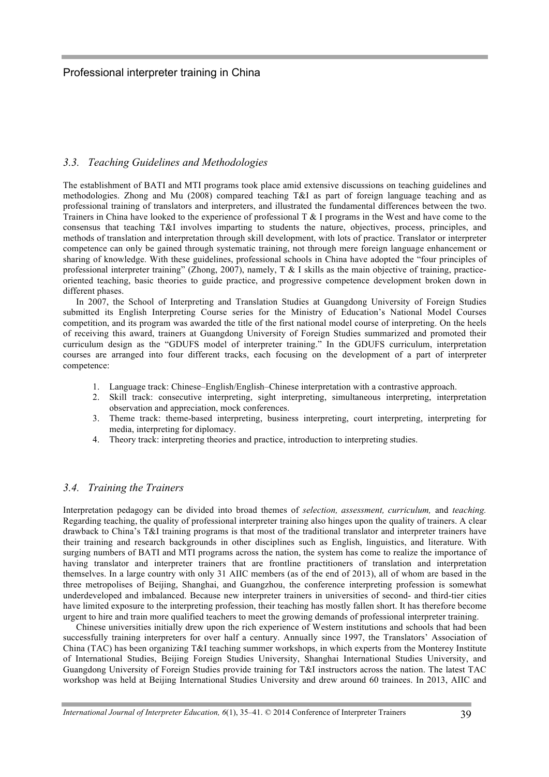#### *3.3. Teaching Guidelines and Methodologies*

The establishment of BATI and MTI programs took place amid extensive discussions on teaching guidelines and methodologies. Zhong and Mu (2008) compared teaching T&I as part of foreign language teaching and as professional training of translators and interpreters, and illustrated the fundamental differences between the two. Trainers in China have looked to the experience of professional T & I programs in the West and have come to the consensus that teaching T&I involves imparting to students the nature, objectives, process, principles, and methods of translation and interpretation through skill development, with lots of practice. Translator or interpreter competence can only be gained through systematic training, not through mere foreign language enhancement or sharing of knowledge. With these guidelines, professional schools in China have adopted the "four principles of professional interpreter training" (Zhong, 2007), namely, T & I skills as the main objective of training, practiceoriented teaching, basic theories to guide practice, and progressive competence development broken down in different phases.

In 2007, the School of Interpreting and Translation Studies at Guangdong University of Foreign Studies submitted its English Interpreting Course series for the Ministry of Education's National Model Courses competition, and its program was awarded the title of the first national model course of interpreting. On the heels of receiving this award, trainers at Guangdong University of Foreign Studies summarized and promoted their curriculum design as the "GDUFS model of interpreter training." In the GDUFS curriculum, interpretation courses are arranged into four different tracks, each focusing on the development of a part of interpreter competence:

- 1. Language track: Chinese–English/English–Chinese interpretation with a contrastive approach.
- 2. Skill track: consecutive interpreting, sight interpreting, simultaneous interpreting, interpretation observation and appreciation, mock conferences.
- 3. Theme track: theme-based interpreting, business interpreting, court interpreting, interpreting for media, interpreting for diplomacy.
- 4. Theory track: interpreting theories and practice, introduction to interpreting studies.

#### *3.4. Training the Trainers*

Interpretation pedagogy can be divided into broad themes of *selection, assessment, curriculum,* and *teaching.* Regarding teaching, the quality of professional interpreter training also hinges upon the quality of trainers. A clear drawback to China's T&I training programs is that most of the traditional translator and interpreter trainers have their training and research backgrounds in other disciplines such as English, linguistics, and literature. With surging numbers of BATI and MTI programs across the nation, the system has come to realize the importance of having translator and interpreter trainers that are frontline practitioners of translation and interpretation themselves. In a large country with only 31 AIIC members (as of the end of 2013), all of whom are based in the three metropolises of Beijing, Shanghai, and Guangzhou, the conference interpreting profession is somewhat underdeveloped and imbalanced. Because new interpreter trainers in universities of second- and third-tier cities have limited exposure to the interpreting profession, their teaching has mostly fallen short. It has therefore become urgent to hire and train more qualified teachers to meet the growing demands of professional interpreter training.

Chinese universities initially drew upon the rich experience of Western institutions and schools that had been successfully training interpreters for over half a century. Annually since 1997, the Translators' Association of China (TAC) has been organizing T&I teaching summer workshops, in which experts from the Monterey Institute of International Studies, Beijing Foreign Studies University, Shanghai International Studies University, and Guangdong University of Foreign Studies provide training for T&I instructors across the nation. The latest TAC workshop was held at Beijing International Studies University and drew around 60 trainees. In 2013, AIIC and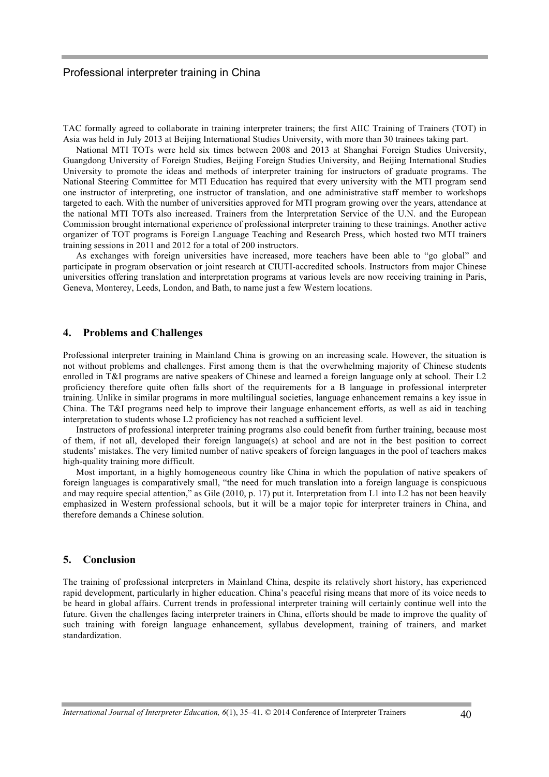TAC formally agreed to collaborate in training interpreter trainers; the first AIIC Training of Trainers (TOT) in Asia was held in July 2013 at Beijing International Studies University, with more than 30 trainees taking part.

National MTI TOTs were held six times between 2008 and 2013 at Shanghai Foreign Studies University, Guangdong University of Foreign Studies, Beijing Foreign Studies University, and Beijing International Studies University to promote the ideas and methods of interpreter training for instructors of graduate programs. The National Steering Committee for MTI Education has required that every university with the MTI program send one instructor of interpreting, one instructor of translation, and one administrative staff member to workshops targeted to each. With the number of universities approved for MTI program growing over the years, attendance at the national MTI TOTs also increased. Trainers from the Interpretation Service of the U.N. and the European Commission brought international experience of professional interpreter training to these trainings. Another active organizer of TOT programs is Foreign Language Teaching and Research Press, which hosted two MTI trainers training sessions in 2011 and 2012 for a total of 200 instructors.

As exchanges with foreign universities have increased, more teachers have been able to "go global" and participate in program observation or joint research at CIUTI-accredited schools. Instructors from major Chinese universities offering translation and interpretation programs at various levels are now receiving training in Paris, Geneva, Monterey, Leeds, London, and Bath, to name just a few Western locations.

#### **4. Problems and Challenges**

Professional interpreter training in Mainland China is growing on an increasing scale. However, the situation is not without problems and challenges. First among them is that the overwhelming majority of Chinese students enrolled in T&I programs are native speakers of Chinese and learned a foreign language only at school. Their L2 proficiency therefore quite often falls short of the requirements for a B language in professional interpreter training. Unlike in similar programs in more multilingual societies, language enhancement remains a key issue in China. The T&I programs need help to improve their language enhancement efforts, as well as aid in teaching interpretation to students whose L2 proficiency has not reached a sufficient level.

Instructors of professional interpreter training programs also could benefit from further training, because most of them, if not all, developed their foreign language(s) at school and are not in the best position to correct students' mistakes. The very limited number of native speakers of foreign languages in the pool of teachers makes high-quality training more difficult.

Most important, in a highly homogeneous country like China in which the population of native speakers of foreign languages is comparatively small, "the need for much translation into a foreign language is conspicuous and may require special attention," as Gile (2010, p. 17) put it. Interpretation from L1 into L2 has not been heavily emphasized in Western professional schools, but it will be a major topic for interpreter trainers in China, and therefore demands a Chinese solution.

#### **5. Conclusion**

The training of professional interpreters in Mainland China, despite its relatively short history, has experienced rapid development, particularly in higher education. China's peaceful rising means that more of its voice needs to be heard in global affairs. Current trends in professional interpreter training will certainly continue well into the future. Given the challenges facing interpreter trainers in China, efforts should be made to improve the quality of such training with foreign language enhancement, syllabus development, training of trainers, and market standardization.